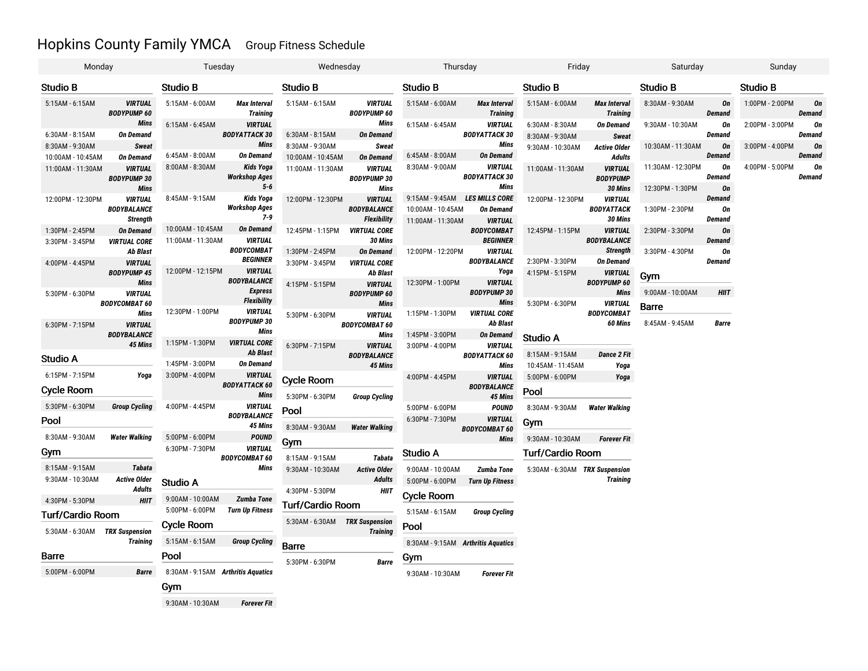# Hopkins County Family YMCA Group Fitness Schedule

| Monday                         |                                                     | Tuesday                                   |                                              | Wednesday                      |                                                     | Thursday                                |                                                | Friday                         |                                              | Saturday                              |                     | Sunday          |                     |
|--------------------------------|-----------------------------------------------------|-------------------------------------------|----------------------------------------------|--------------------------------|-----------------------------------------------------|-----------------------------------------|------------------------------------------------|--------------------------------|----------------------------------------------|---------------------------------------|---------------------|-----------------|---------------------|
| Studio B                       |                                                     | Studio B                                  |                                              | <b>Studio B</b>                |                                                     | Studio B                                |                                                | Studio B                       |                                              | <b>Studio B</b>                       |                     | <b>Studio B</b> |                     |
| 5:15AM - 6:15AM                | <b>VIRTUAL</b><br><b>BODYPUMP 60</b>                | 5:15AM - 6:00AM                           | <b>Max Interval</b><br><b>Training</b>       | 5:15AM - 6:15AM                | <b>VIRTUAL</b><br><b>BODYPUMP 60</b>                | 5:15AM - 6:00AM                         | <b>Max Interval</b><br><b>Training</b>         | 5:15AM - 6:00AM                | <b>Max Interval</b><br><b>Training</b>       | 8:30AM - 9:30AM                       | 0n<br><b>Demand</b> | 1:00PM - 2:00PM | On<br>Demand        |
|                                | <b>Mins</b>                                         | 6:15AM - 6:45AM                           | <b>VIRTUAL</b>                               |                                | Mins                                                | 6:15AM - 6:45AM                         | <b>VIRTUAL</b>                                 | 6:30AM - 8:30AM                | On Demand                                    | 9:30AM - 10:30AM                      | On                  | 2:00PM - 3:00PM | On                  |
| 6:30AM - 8:15AM                | <b>On Demand</b>                                    |                                           | <b>BODYATTACK 30</b>                         | 6:30AM - 8:15AM                | <b>On Demand</b>                                    |                                         | <b>BODYATTACK 30</b>                           | 8:30AM - 9:30AM                | <b>Sweat</b>                                 |                                       | <b>Demand</b>       |                 | Demand              |
| 8:30AM - 9:30AM                | <b>Sweat</b>                                        |                                           | <b>Mins</b>                                  | 8:30AM - 9:30AM                | Sweat                                               |                                         | Mins                                           | 9:30AM - 10:30AM               | <b>Active Older</b>                          | 10:30AM - 11:30AM                     | On                  | 3:00PM - 4:00PM | On                  |
| 10:00AM - 10:45AM              | <b>On Demand</b>                                    | 6:45AM - 8:00AM                           | <b>On Demand</b>                             | 10:00AM - 10:45AM              | <b>On Demand</b>                                    | 6:45AM - 8:00AM                         | <b>On Demand</b>                               |                                | <b>Adults</b>                                |                                       | Demand              |                 | <b>Demand</b>       |
| 11:00AM - 11:30AM              | <b>VIRTUAL</b><br><b>BODYPUMP 30</b><br><b>Mins</b> | 8:00AM - 8:30AM                           | Kids Yoga<br><b>Workshop Ages</b><br>$5 - 6$ | 11:00AM - 11:30AM              | <b>VIRTUAL</b><br><b>BODYPUMP 30</b><br><b>Mins</b> | 8:30AM - 9:00AM                         | <b>VIRTUAL</b><br><b>BODYATTACK 30</b><br>Mins | 11:00AM - 11:30AM              | <b>VIRTUAL</b><br><b>BODYPUMP</b><br>30 Mins | 11:30AM - 12:30PM<br>12:30PM - 1:30PM | On<br>Demand<br>On  | 4:00PM - 5:00PM | On<br><b>Demand</b> |
| 12:00PM - 12:30PM              | <b>VIRTUAL</b>                                      | 8:45AM - 9:15AM                           | <b>Kids Yoga</b>                             | 12:00PM - 12:30PM              | <b>VIRTUAL</b>                                      | 9:15AM - 9:45AM                         | <b>LES MILLS CORE</b>                          | 12:00PM - 12:30PM              | <b>VIRTUAL</b>                               |                                       | Demand              |                 |                     |
|                                | <b>BODYBALANCE</b>                                  |                                           | <b>Workshop Ages</b>                         |                                | <b>BODYBALANCE</b>                                  | 10:00AM - 10:45AM                       | <b>On Demand</b>                               |                                | <b>BODYATTACK</b>                            | 1:30PM - 2:30PM                       | On                  |                 |                     |
|                                | <b>Strength</b>                                     |                                           | 7-9                                          |                                | <b>Flexibility</b>                                  | 11:00AM - 11:30AM                       | <b>VIRTUAL</b>                                 |                                | 30 Mins                                      |                                       | <b>Demand</b>       |                 |                     |
| 1:30PM - 2:45PM                | <b>On Demand</b>                                    | 10:00AM - 10:45AM                         | <b>On Demand</b>                             | 12:45PM - 1:15PM               | <b>VIRTUAL CORE</b>                                 |                                         | <b>BODYCOMBAT</b>                              | 12:45PM - 1:15PM               | <b>VIRTUAL</b>                               | 2:30PM - 3:30PM                       | On                  |                 |                     |
| 3:30PM - 3:45PM                | <b>VIRTUAL CORE</b>                                 | 11:00AM - 11:30AM                         | <b>VIRTUAL</b>                               |                                | 30 Mins                                             |                                         | <b>BEGINNER</b>                                |                                | <b>BODYBALANCE</b>                           |                                       | <b>Demand</b>       |                 |                     |
|                                | Ab Blast                                            |                                           | <b>BODYCOMBAT</b>                            | 1:30PM - 2:45PM                | <b>On Demand</b>                                    | 12:00PM - 12:20PM                       | <b>VIRTUAL</b>                                 |                                | <b>Strength</b>                              | 3:30PM - 4:30PM                       | On                  |                 |                     |
| 4:00PM - 4:45PM                | <b>VIRTUAL</b>                                      |                                           | <b>BEGINNER</b>                              | 3:30PM - 3:45PM                | <b>VIRTUAL CORE</b>                                 |                                         | <b>BODYBALANCE</b>                             | 2:30PM - 3:30PM                | On Demand                                    |                                       | Demand              |                 |                     |
|                                | <b>BODYPUMP 45</b>                                  | 12:00PM - 12:15PM                         | <b>VIRTUAL</b>                               |                                | Ab Blast                                            |                                         | Yoga                                           | 4:15PM - 5:15PM                | <b>VIRTUAL</b>                               | Gym                                   |                     |                 |                     |
|                                | <b>Mins</b>                                         |                                           | <b>BODYBALANCE</b>                           | 4:15PM - 5:15PM                | <b>VIRTUAL</b>                                      | 12:30PM - 1:00PM                        | <b>VIRTUAL</b>                                 |                                | <b>BODYPUMP 60</b>                           |                                       |                     |                 |                     |
| 5:30PM - 6:30PM                | <b>VIRTUAL</b>                                      |                                           | <b>Express</b>                               |                                | <b>BODYPUMP 60</b>                                  |                                         | <b>BODYPUMP 30</b>                             |                                | <b>Mins</b>                                  | 9:00AM - 10:00AM                      | <b>HIIT</b>         |                 |                     |
| <b>BODYCOMBAT 60</b>           |                                                     |                                           | <b>Flexibility</b>                           |                                | <b>Mins</b>                                         |                                         | <b>Mins</b>                                    | 5:30PM - 6:30PM                | <b>VIRTUAL</b>                               | Barre                                 |                     |                 |                     |
|                                | Mins                                                | 12:30PM - 1:00PM                          | <b>VIRTUAL</b>                               | 5:30PM - 6:30PM                | <b>VIRTUAL</b><br><b>BODYCOMBAT 60</b>              | 1:15PM - 1:30PM                         | <b>VIRTUAL CORE</b>                            |                                | <b>BODYCOMBAT</b><br>60 Mins                 |                                       |                     |                 |                     |
| 6:30PM - 7:15PM                | <b>VIRTUAL</b>                                      |                                           | <b>BODYPUMP 30</b><br>Mins                   |                                |                                                     |                                         | Ab Blast                                       |                                |                                              | 8:45AM - 9:45AM                       | <b>Barre</b>        |                 |                     |
|                                | <b>BODYBALANCE</b>                                  | 1:15PM - 1:30PM                           | <b>VIRTUAL CORE</b>                          |                                | Mins                                                | 1:45PM - 3:00PM                         | On Demand                                      | <b>Studio A</b>                |                                              |                                       |                     |                 |                     |
|                                | 45 Mins                                             |                                           | Ab Blast                                     | 6:30PM - 7:15PM                | <b>VIRTUAL</b>                                      | 3:00PM - 4:00PM                         | <b>VIRTUAL</b>                                 |                                |                                              |                                       |                     |                 |                     |
| Studio A                       |                                                     | 1:45PM - 3:00PM                           | <b>On Demand</b>                             |                                | <b>BODYBALANCE</b><br>45 Mins                       |                                         | <b>BODYATTACK 60</b><br><b>Mins</b>            | 8:15AM - 9:15AM                | <b>Dance 2 Fit</b>                           |                                       |                     |                 |                     |
| 6:15PM - 7:15PM                | Yoga                                                | 3:00PM - 4:00PM                           | <b>VIRTUAL</b>                               |                                |                                                     |                                         |                                                | 10:45AM - 11:45AM              | Yoga                                         |                                       |                     |                 |                     |
|                                |                                                     |                                           | <b>BODYATTACK 60</b>                         | <b>Cycle Room</b>              |                                                     | 4:00PM - 4:45PM                         | <b>VIRTUAL</b><br><b>BODYBALANCE</b>           | 5:00PM - 6:00PM                | Yoga                                         |                                       |                     |                 |                     |
| Cycle Room                     |                                                     |                                           | <b>Mins</b>                                  | 5:30PM - 6:30PM                | <b>Group Cycling</b>                                |                                         | 45 Mins                                        | Pool                           |                                              |                                       |                     |                 |                     |
| 5:30PM - 6:30PM                | <b>Group Cycling</b>                                | 4:00PM - 4:45PM                           | <b>VIRTUAL</b>                               |                                |                                                     | 5:00PM - 6:00PM                         | POUND                                          | 8:30AM - 9:30AM                | <b>Water Walking</b>                         |                                       |                     |                 |                     |
|                                |                                                     |                                           | <b>BODYBALANCE</b>                           | Pool                           |                                                     | 6:30PM - 7:30PM                         | <b>VIRTUAL</b>                                 |                                |                                              |                                       |                     |                 |                     |
| Pool                           |                                                     |                                           | 45 Mins                                      | 8:30AM - 9:30AM                | <b>Water Walking</b>                                |                                         | <b>BODYCOMBAT 60</b>                           | Gym                            |                                              |                                       |                     |                 |                     |
| 8:30AM - 9:30AM                | <b>Water Walking</b>                                | 5:00PM - 6:00PM                           | <b>POUND</b>                                 | Gym                            |                                                     |                                         | Mins                                           | 9:30AM - 10:30AM               | <b>Forever Fit</b>                           |                                       |                     |                 |                     |
| Gym                            |                                                     | 6:30PM - 7:30PM                           | <b>VIRTUAL</b>                               |                                |                                                     | Studio A                                |                                                | <b>Turf/Cardio Room</b>        |                                              |                                       |                     |                 |                     |
|                                |                                                     |                                           | <b>BODYCOMBAT 60</b>                         | 8:15AM - 9:15AM                | <b>Tabata</b>                                       |                                         |                                                |                                |                                              |                                       |                     |                 |                     |
| 8:15AM - 9:15AM                | <b>Tabata</b>                                       |                                           | <b>Mins</b>                                  | 9:30AM - 10:30AM               | <b>Active Older</b>                                 | 9:00AM - 10:00AM                        | <b>Zumba Tone</b>                              | 5:30AM - 6:30AM TRX Suspension |                                              |                                       |                     |                 |                     |
| 9:30AM - 10:30AM               | <b>Active Older</b>                                 | Studio A                                  |                                              |                                | <b>Adults</b>                                       | 5:00PM - 6:00PM                         | <b>Turn Up Fitness</b>                         |                                | <b>Training</b>                              |                                       |                     |                 |                     |
|                                | <b>Adults</b>                                       |                                           |                                              | 4:30PM - 5:30PM                | HIIT                                                | <b>Cycle Room</b>                       |                                                |                                |                                              |                                       |                     |                 |                     |
| 4:30PM - 5:30PM                | <b>HIIT</b>                                         | 9:00AM - 10:00AM                          | <b>Zumba Tone</b>                            | Turf/Cardio Room               |                                                     |                                         |                                                |                                |                                              |                                       |                     |                 |                     |
| <b>Turf/Cardio Room</b>        |                                                     | 5:00PM - 6:00PM<br><b>Turn Up Fitness</b> |                                              | 5:30AM - 6:30AM TRX Suspension |                                                     | 5:15AM - 6:15AM<br><b>Group Cycling</b> |                                                |                                |                                              |                                       |                     |                 |                     |
| 5:30AM - 6:30AM TRX Suspension | <b>Training</b>                                     | Cycle Room                                |                                              |                                | <b>Training</b>                                     | Pool                                    |                                                |                                |                                              |                                       |                     |                 |                     |
|                                |                                                     | 5:15AM - 6:15AM                           | <b>Group Cycling</b>                         |                                |                                                     | 8:30AM - 9:15AM Arthritis Aquatics      |                                                |                                |                                              |                                       |                     |                 |                     |
| Barre                          |                                                     | Pool                                      |                                              | Barre                          |                                                     | Gym                                     |                                                |                                |                                              |                                       |                     |                 |                     |
|                                |                                                     |                                           |                                              | 5:30PM - 6:30PM                | <b>Barre</b>                                        |                                         |                                                |                                |                                              |                                       |                     |                 |                     |
| 5:00PM - 6:00PM                | <b>Barre</b>                                        | 8:30AM - 9:15AM Arthritis Aquatics        |                                              |                                |                                                     | 9:30AM - 10:30AM                        | <b>Forever Fit</b>                             |                                |                                              |                                       |                     |                 |                     |
|                                |                                                     | Gym                                       |                                              |                                |                                                     |                                         |                                                |                                |                                              |                                       |                     |                 |                     |

9:30AM - 10:30AM *Forever Fit*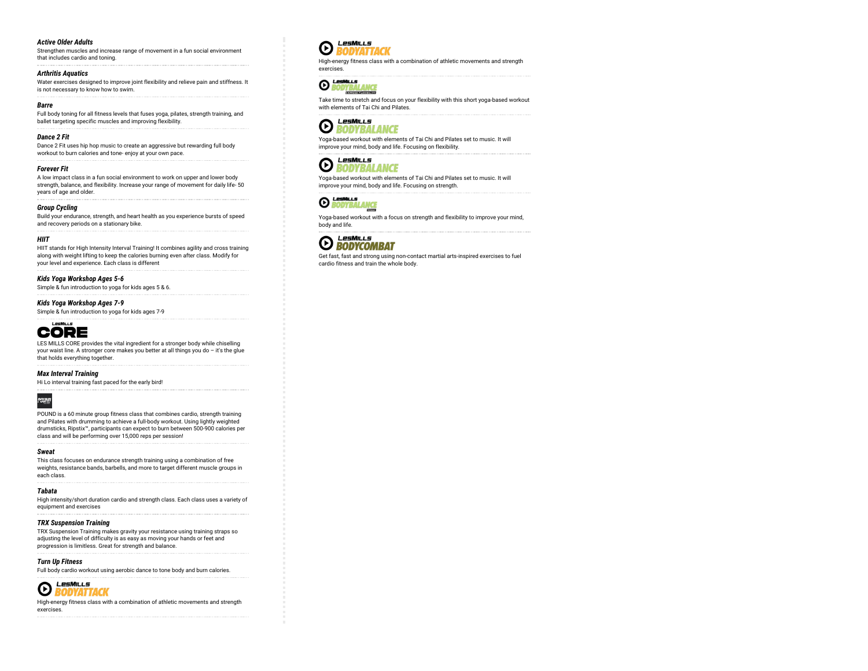## *Active Older Adults*

Strengthen muscles and increase range of movement in a fun social environment that includes cardio and toning.

#### *Arthritis Aquatics*

Water exercises designed to improve joint flexibility and relieve pain and stiffness. It is not necessary to know how to swim.

#### *Barre*

Full body toning for all fitness levels that fuses yoga, pilates, strength training, and ballet targeting specific muscles and improving flexibility.

#### *Dance 2 Fit*

Dance 2 Fit uses hip hop music to create an aggressive but rewarding full body workout to burn calories and tone- enjoy at your own pace.

#### *Forever Fit*

A low impact class in a fun social environment to work on upper and lower body strength, balance, and flexibility. Increase your range of movement for daily life- 50 years of age and older.

#### *Group Cycling*

Build your endurance, strength, and heart health as you experience bursts of speed and recovery periods on a stationary bike.

#### *HIIT*

HIIT stands for High Intensity Interval Training! It combines agility and cross training along with weight lifting to keep the calories burning even after class. Modify for your level and experience. Each class is different

#### *Kids Yoga Workshop Ages 5-6*

Simple & fun introduction to yoga for kids ages 5 & 6.

#### *Kids Yoga Workshop Ages 7-9*

Simple & fun introduction to yoga for kids ages 7-9



LES MILLS CORE provides the vital ingredient for a stronger body while chiselling your waist line. A stronger core makes you better at all things you do – it's the glue that holds everything together.

#### *Max Interval Training*

Hi Lo interval training fast paced for the early bird!



POUND is a 60 minute group fitness class that combines cardio, strength training and Pilates with drumming to achieve a full-body workout. Using lightly weighted drumsticks, Ripstix™, participants can expect to burn between 500-900 calories per class and will be performing over 15,000 reps per session!

#### *Sweat*

This class focuses on endurance strength training using a combination of free weights, resistance bands, barbells, and more to target different muscle groups in each class.

# *Tabata*

High intensity/short duration cardio and strength class. Each class uses a variety of equipment and exercises

## *TRX Suspension Training*

TRX Suspension Training makes gravity your resistance using training straps so adjusting the level of difficulty is as easy as moving your hands or feet and progression is limitless. Great for strength and balance.

#### *Turn Up Fitness*

Full body cardio workout using aerobic dance to tone body and burn calories.



High-energy fitness class with a combination of athletic movements and strength exercises.

# LesMills  $\odot$

High-energy fitness class with a combination of athletic movements and strength exercises.

O BODYBALANCE

Take time to stretch and focus on your flexibility with this short yoga-based workout with elements of Tai Chi and Pilates.



## Yoga-based workout with elements of Tai Chi and Pilates set to music. It will improve your mind, body and life. Focusing on flexibility.



Yoga-based workout with elements of Tai Chi and Pilates set to music. It will improve your mind, body and life. Focusing on strength.



Yoga-based workout with a focus on strength and flexibility to improve your mind, body and life.



Get fast, fast and strong using non-contact martial arts-inspired exercises to fuel cardio fitness and train the whole body.